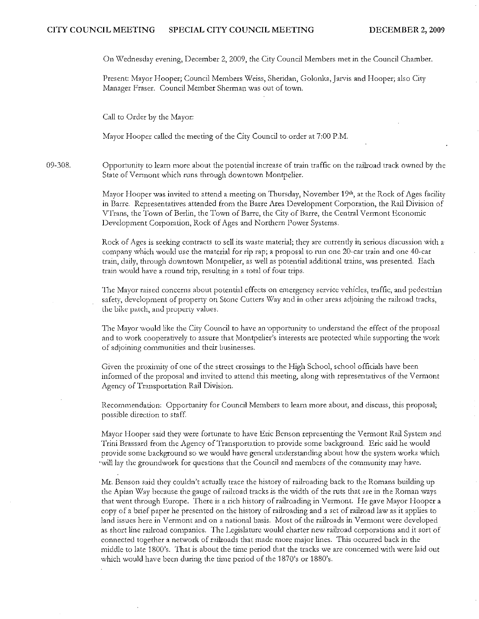On Wednesday evening, December 2, 2009, the City Council Members met in the Council Chamber.

Present: Mayor Hooper; Council Members Weiss, Sheridan, Golonka, Jarvis and Hooper; also City Manager Fraser. Council Member Sherman was out of town.

Call to Order by the Mayor:

Mayor Hooper called the meeting of the City Council to order at 7:00 P.M.

09·308. Opportunity to learn more about the potential increase of train traffic on the railroad track owned by the State of Vermont which runs through downtown Montpelier.

> Mayor Hooper was invited to attend a meeting on Thursday, November  $19th$ , at the Rock of Ages facility in Barre. Representatives attended from the Barre Area Development Corporation, the Rail Division of VTrans, the Town of Berlin, the Town of Barre, the City of Barre, the Central Vermont Economic Development Corporation, Rock of Ages and Northern Power Systems,

> Rock of Ages is seeking contracts to sell its waste material; they are currently in serious discussion with a" company which would use the material for rip rap; a proposal to run one 20-car train and one 40-car train, daily, through downtown Montpelier, as well as potential additional trains, was presented. Each train would have a round trip, resulting in a total of four trips.

> The Mayor raised concerns about potential effects on emergency service vehicles, traffic, and pedestrian safety, development of property on Stone Cutters Way and in other areas adjoining the railroad tracks, the bike patch, and property values.

> The Mayor would like the City Council to have an opportunity to understand the effect of the proposal and to work cooperatively to assure that Montpelier's interests are protected while supporting the work of adjoining communities and their businesses.

> Given the proximity of one of the street crossings to the High School, school officials have been informed of the proposal and invited to attend this meeting, along with representatives of the Vermont Agency of Transportation Rail Division.

> Recommendation: Opportunity for Council Members to learn more about, and discuss, this proposal; possible direcuon to staff.

Mayor Hooper said they were fortunate to have Eric Benson representing the Vermont Rail System and Trini Brassard from the Agency of Transportation to provide some background. Eric said he would provide some background so we would have general understanding about how the system works which 'will lay the groundwork for questions that the Council and members of the community may have.

Mr. Benson said they couldn't actually trace the history of railroading back to the Romans building up the Apian Way because the gauge of railroad tracks .is the width of the ruts that are in the Roman ways that went through Europe. There is a rich history of railroading in Vermont. He gave Mayor Hooper a copy of a brier paper he presented on the history of railroading and a set of railroad law as it applies to land issues here in Vermont and on a national basis. Most of the railroads in Vermont were developed as short line railroad companies. The Legislature would charter new railroad corporations and it sort of connected together a network of railroads that made mote major lines. This occurred back in the middle to late 1800's. That is about the time period that the tracks we are concerned with were laid out which would have been during the time period of the 1870's or 1880's.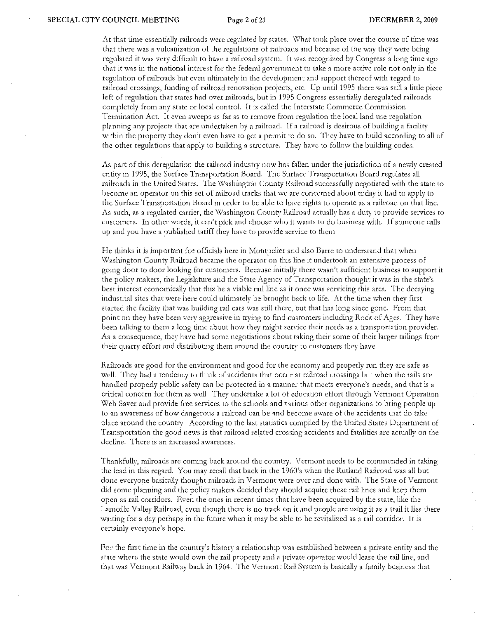At that time essentially railroads were regulated by states. What took place over the course of time was that there was a vulcanization of the regulations of railroads and because of the way they were being regulated it was very difficult to have a railroad system. It was recognized by Congress a long time ago that it was in the national interest for the federal government to take a more active role not only in the regulation of railroads but even ultimately in the development and support thereof with regard to railroad crossings, funding of railroad renovation projects, etc. Up until 1995 there was still a little piece left of regulation that states had over railroads, but in 1995 Congress essentially deregulated railroads completely from any state or local control. It is called the Interstate Commerce Conunission Termination Act. It even sweeps as far as to remove from regulation the local land use regulation planning any projects that are undertaken by a railroad. If a railroad is desirous of building a facility within the property they don't even have to get a permit to do so. They have to build according to all of the other regulations that apply to building a structure. They have to follow the building codes.

As part of this deregulation the railroad industry now has fallen under the jurisdiction of a newly created entity in 1995, the Surface Transportation Board. The Surface Transportation Board regulates all railroads in the United States. The Washington County Railroad successfully negotiated with the state to become an operator on this set of railroad tracks that we are concerned about today it had to apply to the Surface Transportation Board in order to be able to have rights to operate as a railroad on that line. As such, as a regulated carrier, the Washington County Railroad actually has a duty to provide services to customers. In other words, it can't pick and choose who it wants to do business with. If someone calls up and you have a published tariff they have to provide service to them.

He thinks it is important for officials here in Montpelier and also Barre to understand that when \X'ashington County Railroad became the operator on this line it undertook an extensive process of going door to door looking for customers. Because initially there wasn't sufficient business to support it the policy makers, the Legislature and the State Agency of Transportation thought it was in the state's best interest economically that this be a viable rail line as it once was setvicing this area. The decaying industrial sites that were here could ultimately be brought back to life. At the time when they first started the facility that was building rail cars was still there, but that has long since gone. From that point on they have been very aggressive in trying to find customers including Rock of Ages. They have been talking to them a long time about how they might: service their needs as a transportation provider. As a consequence, they have had some negotiations about taking their some of their larger tailings [rom their quarry effort and distributing them around the country to customers they have.

Railroads are good for the environment and good for the economy and properly run they arc safe as welL They had a tendency to think of accidents that occur at railroad crossings but when the rails are handled properly public safety can be protected in a manner that meets everyone's needs, and that is a critical concern for them as well. They undertake a lot of education effort through Vermont Operation Web Saver and provide free serviccs to the schools and various other organizations to bring people up to an awareness of how dangerous a railroad Can be and become aware of the accidents that do take place around the country. According to the last statistics compiled by the United States Department of Transportation the good news is that railroad related crossing accidents and fatalities are actually on the decline. There is an increased awareness.

Thankfully, railroads are coming back around the country. Vermont needs to be commended in taking the lead in this regard. You may recall that back in the 1960's when the Rutland Railroad was all but done everyone basically thought railroads in Vermont were over and done with. The State of Vermont did some planning and the policy makers decided they should acquire these rail lines and keep them open as rail corridors. Even the oncs in recent times that have been acquired by the state, like the Lamoille Valley Railroad, even though there is no track on it and people arc using it as a trail it lies there waiting for a day perhaps in the future when it may be able to be revitalized as a rail corridor. It is certainly everyone's hope.

For the first time in the country's history a relationship was established between a private entity and the state where the state would own the rail property and a private operator would lease the rail line, and that was Vermont Railway back in 1964. The Vermont Rail System is basically a family business that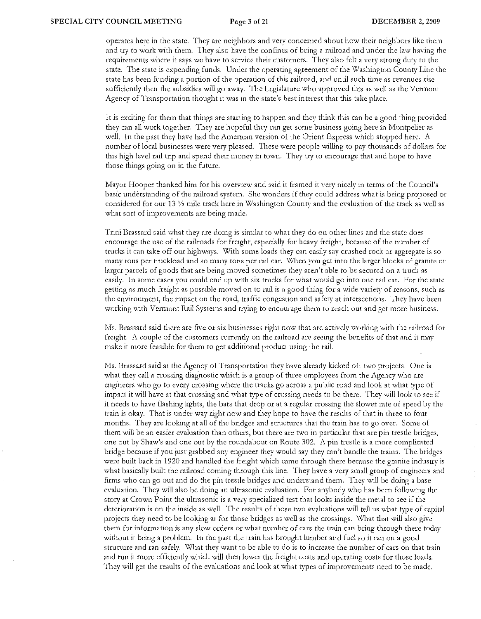opctates here in the state. They arc neighbors and very concerned about how their neighbors like them and try to work with them. They also have the confines of being a railroad and under the law having the requirements where it says we have to service their customers. They also felt a very strong duty to the state, The state is expending funds. Under the operating agreement of the \\1ashington County Line the state has been funding a portion of the operation of this railroad, and until such time as revenues rise sufficiently then the subsidies will go away. The Legislature who approved this as well as the Vennont Agency of Transportation thought it was in the state's best interest that this take place.

It is exciting for them that things are starting to happen and they think this can be a good thing provided they can all work together. They are hopeful they can get some business going here in Montpelier as well. In the past they have had the American version of the Orient Express which stopped here. A number of local businesses were very pleased. 'Illesc were people willing to pay thousands of dollars for this high level rail trip and spend their money in town. They try to encourage that and hope to have those things going on in the future.

Mayor Hooper thanked him for his overview and said it framed it very nicely in terms of the Council's basic understanding of the railroad system. She wonders if they could address what is being proposed or considered for our 13  $\frac{1}{2}$  mile track here in Washington County and the evaluation of the track as well as what sort of improvements arc being made.

Trin1 Brassard said what they are doing is similar to what they do on other lines and the state does encourage the use of the railroads for freight, especially for heavy freight, because of the number of trucks it can take off our highways. With some loads they can easily say crushed rock or aggregate is so many tons per truckload and so many tons per rail car. When you get into the larger blocks of granite or larger parcels of goods that are being moved sometimes they aren't: able to be secured on a truck as easily. In some cases you could end up with six trucks for what would go into one rail car. For the state getting as much freight as possible moved on to rail is a good thing for a wide variety of reasons, such as the environment, the impact on the road, traffic congestion and safety at intetsections. They have been working with Vermont Rail Systems and trying to encuurage lhem to teach out and get more business.

Ms. Brassard said there are five or six businesses right now that are actively working with the railroad for freight:. A couple of the customers currently on the railroad arc seeing the benefits of that and it may make it more feasible for them to get additional product using the rail.

Ms. Brassard said at the Agency of Transportation they have already kicked off two projects. One is what they call a crossing diagnostic which is a group of three employees from the Agency who arc engineers who go to every crossing where the tracks go across a public road and look at what type of impact it will have at that crossing and what type of crossing needs to be there, They will look to sce if it needs to have flashing lights, the bars that drop or at a regular crossing the slower rate of speed by the train is okay. That is under way right now and they hope to have the results of that in three to four months. They are looking at all of the bridges and structures that the train has to go over. Some of them will be an easier evaluation than others, but there arc two in particular that arc pin trestle bridges, one out by Shaw's and one out by the roundabout on Route 302. A pin trestle is a more complicated bridge because if you just grabbed any engineet they would say they can't handle the trains. The bridges were built back in 1920 and handled the freight which Camc through there because the granite industry is what basically built the railroad coming through this line. They have a very small group of engineers and firms who can go out and do the pin trestle bridges and understand them. They will be doing a base evaluation. They will also be doing an ultrasonic evaluation. For anybody who has been following the story at Crown Point the ultrasonic is a very specialized test that looks inside the metal to see if the deterioration is on the inside as well. The results of those two evaluations will tell us what type of capital projects they need to be looking at for those bridges as well as the crossings. What that will also give them for information is any slow orders or what number of cars the train can bring through there today without it being a ptoblem. In the past the train has brought lumber and fuel so it ran on a good structure and ran safely. W'hat they want to be able to do is to increase the number of cars on that train and run it more efficiently which will then lower the freight costs and operating costs for those loads. They will get the results of the evaluations and look at what types of improvements need to be made.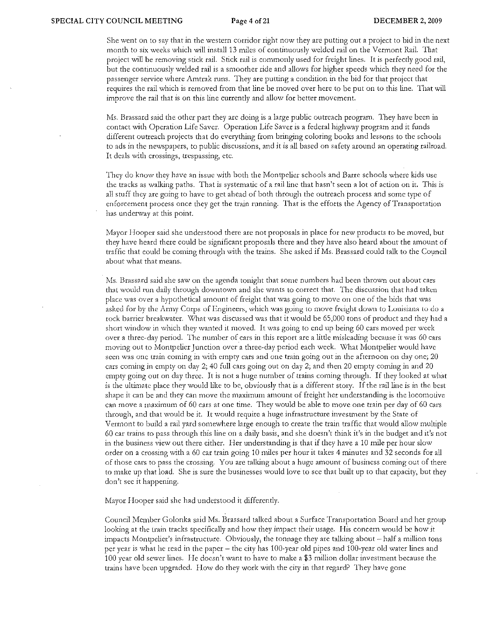She went on to say that in the western corridor right now they arc putting out a project to bid in the next month to six weeks which will install 13 miles of continuously welded rail on the Vermont Rail. That project will be removing stick rail. Stick rail is commonly used for freight lines. It is perfectly good rail, but the continuously welded rail is a smoother ride and allows for higher speeds which they need for the passenger service where Amtrak runs. They arc putting a condition in the bid for that project that reguires the rail which is removed from that line be moved over here to be put on to this linc. That will improve the rail that is on this line currently and allow for better movement.

Ms. Brassard said the other part they are doing is a large public outreach program. They have been in contact with Operation Life Saver. Operation Life Saver is a federal highway program and it funds different outreach projects that do everything from bringing coloring books and lessons to the schools to ads in the newspapers, to public discussions, and it is all based on safety around an operating railroad. It deals \vith crossings, trespassing, etc.

They do know they have an issue with both the Montpelier schools and Barre schools where kids use the tracks as walking paths, That is systematic of a rail line that hasn't seen a lot of action on it. This is all stuff they are going to have to get ahead of both through the outreach process and some type of enforcement process once they get the train running. That is the effotts the Agency of Transportation has underway at this point.

Mayor Hooper said she understood there are not proposals in place for new products to be moved, but they have heard there could be significant proposals there and they have also heard about the amount of traffic that could be coming through with the trains, She asked if Ms, Brassard could talk to the Council about what that means.

Ms. Brassard said she saw on the agenda tonight that some numbers had been thrown out about cars that would run daily through downtown and she wants to correct that. The discussion that had taken place was over a hypothetical amount of freight that was going to move on one of the bids that was asked for by the Army Corps of Engineers, which was going 10 move freight down to Louisiana lo do a rock barrier breakwater. What was discussed was that it would be 65,000 tons of product and they had a short window in which they wanted it moved. It was going to end up being 60 cars moved per week over a three-day period. The number of cars in this report are a little misleading because it was 60 cars moving out to Montpelier Junction over a three-day period each week. What Montpelier would have seen was one train coming in with empty cars and one train going out in the afternoon on day one; 20 cars coming in empty on day 2; 40 full cars going out on day 2; and then 20 empty coming in and 20 empty going out on day three. It is not a huge number of trains coming through. If they looked at what is the ultimate place they would like to be, obviously that is a different *story.* If the rail line is in the best shape it can be and they can move the maximum amount of freight her understanding is the locomotive can move a maximum of 60 cars at one time. They would be able to move one train per day of 60 cars through, and that would be it. It would require a huge infrastructure investment by the State of Vermont to build a rail yard somewhere large enough to create the train traffic that would allow multiple 60 car trains to pass through this line on a daily basis, and she doesn't think it's in the budget and it's not in the business view out there either. Her understanding is that if they have a 10 mile per hour slow order on a crossing with a 60 car train going 10 miles per hour it takes 4 minutes and 32 seconds for all of those cars to pass the crossing. You are talking about a huge amount of business coming out of there to make up that load. She is sure the businesses would love to see that built up to that capacity, but they don't see it happening,

Mayor Hooper said she had understood it differently.

Council Member Golonka said Ms. Brassard talked about a Surface Transportation Board and her group looking at the train tracks specifically and how they impact their usage. His concern would be how it impacts Montpelier's infrastructure. Obviously, the tonnage they are talking about - half a million tons per year is what he read in the paper - the city has lOa-year old pipes and 100-year old water lines and 100 year old sewer lines. He doesn't want to have to make a \$3 million dollar investment because the trains have been upgraded. How do they work with the city in that regard? They have gone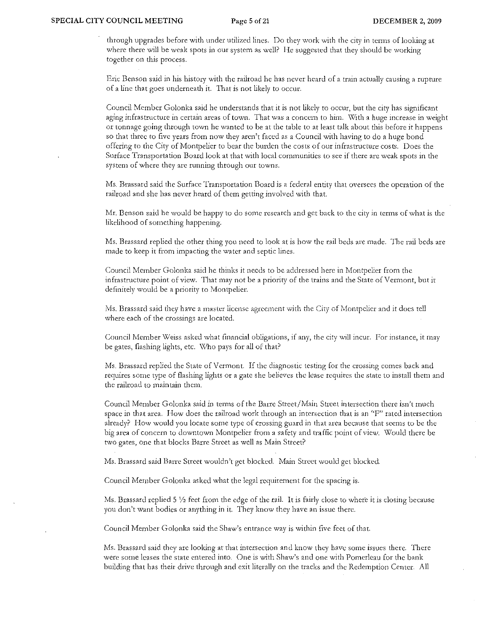through upgrades before with under utilized lines. Do they work with the city in terms of looking at where there will be weak spots in our system as well? He suggested that they should be working together on this process.

Eric Benson said in his history with the railroad he has never heard of a train actually causing a rupture of a line that goes underneath it. That is not likely to occur.

Council Member Golonka said he understands that it is not likely to occur, but the city has significant aging infrastructure in certain areas of town. That was a concern to him. With a huge increase in weight or tonnage going through town he wanted to be at the table to at least talk about this befate it happens so that three to five years from now they aren't faced as a Council with having to do a huge bond offering to the City of Montpelier to bear the burden the costs of our infrastructure costs. Does the Surface Transportation Board look at that with local communities to see if there arc weak spots in the system of where they are running through our towns.

Ms. Brassard said the Surface Transportation Board is a federal entity that oversees the operation of the railroad and she has never heard of them getting involved with that.

Mr. Benson said he would be happy to do some research and get back to the city in terms of what is the likelihood of something happening.

Ms. Brassard replied the other thing you need to look at is how the rail beds are made. The rail beds are made to keep it from impacting the water and septic lines.

Council Member Golonka said he thinks it needs to be addressed here in Montpelier from the infrastructure point of view. That may not be a priority of the trains and the State of Vermont, but it definitely would be a priority to Montpelier.

Ms. Brassard said they have a master license agreement with the City of Montpelier and it does tell where each of the crossings are located.

Council Member Weiss asked what financial obligations, if any, the city will incur. For instance, it may be gates, flashing lights, etc. Who pays for all of that?

Ms. Brassard replied the State of Vermont. If the diagnostic testing for the crossing comes back and requires some type of flashing lights or a gate she believes the lease requires the state to install them and the railroad to maintain them.

Council Member Golonka said in terms of the Barre Street/Main Street intersection there isn't much space in that area. How does the railroad work through an intersection that is an "F" rated intersection already? How would you locate some type of crossing guard in that area because that seems to be the big area of concern to downtown Montpelier from a safety and traffic point of view. Would there be two gates, one that blocks Barre Street as well as Main Street?

Ms. Brassard said Barre Street wouldn't get blocked. Main Street would get blocked.

Council Member Golonka asked what the legal requirement for the spacing is.

Ms. Brassard replied 5  $\frac{1}{2}$  feet from the edge of the rail. It is fairly close to where it is closing because you don't want bodies or anything in it. They know they have an issue there.

Council Member Golonka said the Shaw's entrance way is within five feet of that.

Ms. Brassard said they are looking at that intersection and know they have some issues there. There were some leases the state entered into. One is with Shaw's and one with Pomerleau for the bank building that has their drive through and exit literally on the tracks and the Redemption Center. All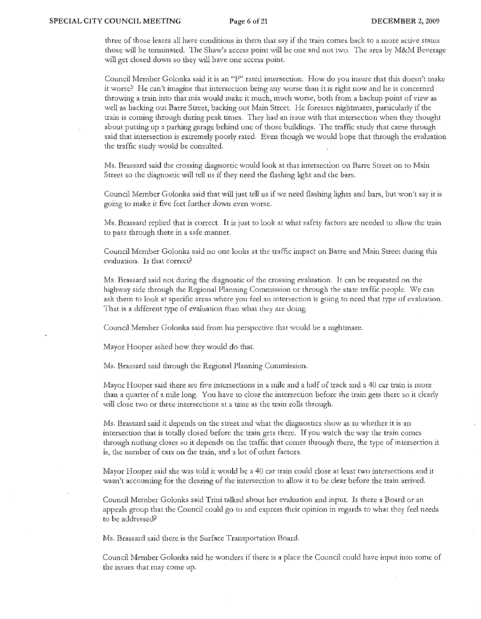three of those leases all have conditions in them that say if the train comes back to a mote active status those will be terminated. The Shaw's access point will be one and not two. The area by M&M Beverage will get closed down so they will have one access point.

Council Member Golonka said it is an "1"" rated intersection. How do you insure that this doesn't make it worse? He can't imagine that intersection being any worse than it is right now and he is concerned throwing a train into that mix would make it much, much worse, both from a backup point of view as well as backing out Barre Street, backing out Main Street. He foresees nightmares, particularly if the train is coming through during peak times. They had an issue with that intersection when they thought about putting up a parking garage behind one of those buildings. The traffic study that came through said that intersection is extremely poorly rated. Even though we would bope that through the evaluation the traffic study would be consulted.

Ms. Brassard said the crossing diagnostic would look at that intersection on Barre Street on to Main Street so the diagnostic will tell us if they need the flashing light and the bars.

Council Member Golonka said that will just tell us if we need flashing lights and bars, but won't say it is going to make it five feet further down even worse.

Ms. Brassard replied that is correct. It is just to look at what safety factors are needed to allow the train to pass through there in a safe manner.

Council Member Golonka said no one looks at the traffic impact on Barre and Main Street during this evaluation. Is that correct?

:Ms. Brassard said not during the diagnostic of the crossing evaluation. It can be requested on the highway side through the Regional Planning Commission or through the state traffic people. We can ask them to look at specific areas where you feel an intersection is going to need that type of evaluation. That is a different type of evaluation than what they are doing.

Council Member Golonka said from his perspective that would be a nightmare.

Mayor Hooper asked how they would do that.

Ms. Brassard said through the Regional Planning Commission.

Mayor Hooper said there are five intersections in a mile and a half of track and a 40 car train is more than a quarter of a mile long. You have to close the intersection before the train gets there so it clearly will close two or three intersections at a time as the train rolls through.

Ms. Brassard said it depends on the street and what the diagnostics show as to whether it is an intersection that *is* totally closed before the train gets there. If you watch the way the train comes through nothing closes so it depends on the traffic that comes through there, the type of intersection it is, the number of cars on the train, and a lot of other factors.

Mayor Hooper said she was told it would be a 40 car train could close at least two intersections and it wasn't accounting for the clearing of the intersection to allow it to be clear before the train arrived.

Council M'ember Golonka said Trini talked about her evaluation and input. Is there a Board or an appeals group that the Council could go to and express their opinion in regards to what they feel needs to be addressed?

Ms. Brassard said there is the Surface Transportation Board.

Council Member Golonka said he wonders if there is a place the Council could havc input into some of the issues that may comc up.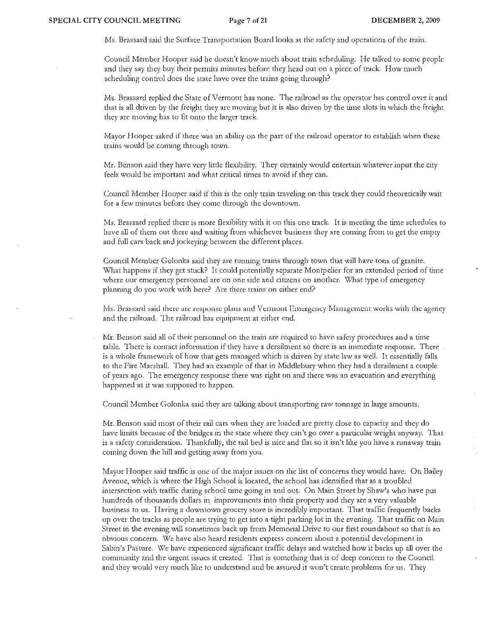:Ms. Brassard said the Surface Transportation Board looks at the safety and operations of the train.

Council Member Hooper said he doesn't know much about train scheduling. He talked to some people and they say they buy their permits minutes before they head out on a piece of track. How much scheduling control does the state have over the trains going through?

Ms. Brassard replied the State of Vermont has none. The railroad as the operator has control over it and that is all driven by the freight they arc moving but it is also driven by the time slots in which the freight they arc moving has to fit onto the larger track.

Mayor Hooper asked if there was an ability on the part of the railroad operator to establish when these trains would be coming through town.

Mr. Benson said they have very little flexibility. They certainly would entertain whatever input the city feels would be important and what critical times to avoid if they can.

Council Member Hooper said if this is the only train traveling on this track they could theoretically wait for a few minutes before they come through the downtown.

:Ms. Brassard replied there is more flexibility with it on this one track. It is meeting the time schedules to have all of them out there and waiting from whichever business they are coming from to get the empty and full cars back and jockeying between the different places.

Council Member Golonka said they are running trains through town that will have tons of granite. What happens if they get stuck? It could potentially separate Montpelier for an extended period of time where our emergency personnel are on one side and citizens on another. What type of emergency planning do you work with here? Are there trains on either end?

Ms. Brassard said there are response plans and Vermont Emergency Management works with the agency and the railroad. The railroad has equipment at either end.

Mr. Benson said all of their personnel on the train are required to have safety procedures and a time table. There is contact information if they have a derailment so there is an immediate response. There. is a whole framework of how that gets managed which is driven by state law as well. It essentially falls to the Fire Marshall. They had an example of that in Middlebury when they had a derailment a couple of years ago. The emergency response there was right on and there was an evacuation and everything happened as it was supposed to happen.

Council Member Golonka said they are talking about transporting raw tonnage in large amounts.

:Mr. Benson said most of their rail cars when they are loaded are pretty close to capacity and they do have limits because of the bridges in the state where they can't go over a particular weight anyway. That is a safety consideration. Thankfully, the rail bed is nice and flat so it isn't like you have a runaway train coming down the hill and getting away from you.

Mayor Hooper said traffic is one of the major issues on the list of concerns they would have. On Bailey Avenue, which is where the High School is located, the school has identified that as a troubled intersection with traffic during school time going in and out. On Main Street by Shaw's who have put hundreds of thousands dollars in improvements into their property and they are a very valuable business to us. Having a downtown grocery store is incredibly important. That traffic frequently backs up over the tracks as people are trying to get into a tight parking lot in the evening. That traffic on Main Street in the evening will sometimes back up from Memorial Drive to our first roundabout so that is an obvious concern. We have also heard residents express concern about a potential development in Sabin)s Pasture. Wie have experienced significant traffic delays and watched how it backs up all over the community and the urgent issues it created. That is something that is of deep concern to the Council and they would very much like to understand and be assured it won't create problems for us. They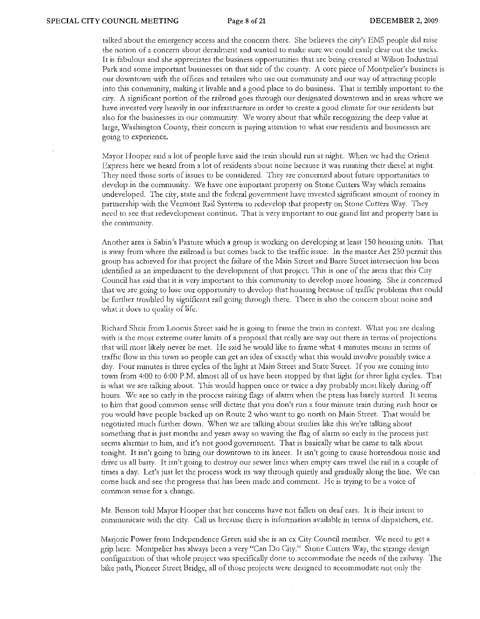talked about the emergency access and the concern there. She believes the city's EMS people did raise the notion of a concern about derailment and wanted to make sure we could easily clear out the tracks. It is fabulous and she appreciates the business opportunities that are being created at Wilson Industrial Park and some important businesses on that side of the county. A core piece of Montpelier's business is our downtown with the offices and retailers who usc our community and our way of attracting people into this community, making it livable and a good place to do business. That is terribly important to the city. A significant portion of the railroad goes through our designated downtown and in areas where we have invested very heavily in our infrastructure in order to create a good climate for our residents but also for the businesses in our community. We worry about that while recognizing the deep value at large, Washington County, their concern is paying attention to what our residents and businesses are going to experience.

Mayor Hooper said a lot of people have said the train should run at night. When we had the Orient Express here we heard from a lot of residents about noise because it was running theit diesel at night. They need those sorts of issues to be considered. They are concerned about future opportunities to develop in the community. We have one important property on Stone Cutters \X'ay which remains undeveloped. The city, state and the federal government have invested significant amount of money in partnership with the Vermont Rail Systems to redevelop that property on Stone Cutters \X'ay. They need to see that redevelopment continue. That is very important to our grand list and property base in the community.

Another area is Sabin's Pasture which a group is working on developing at least 150 housing units. That is away from where the railroad is but comes back to the traffic issue. In the master Act 250 permit this group has achieved for that project the failure of the Main Street and Barre Street intersection has been identified as an impediment to the development of that project. This is one of the areas that this City Council has said that it is very important to this community to develop more housing. She is concerned that we are going to lose our opportunity to develop that housing because of traffic problems that could be further troubled by significant rail going through there. There is also the concern about noise and what it does to quality of life.

Richard Sheir from Loomis Street said he is going to frame the train in context. What you are dealing with is the most extreme outer limits of a proposal that really are way out there in terms of projections that will most likely never be met. He said he would like to frame what 4 minutes means in terms of traffic flow in this town so people can get an idea of exactly what this would involve possibly twice a day. Four minutes is three cycles of the light at Main Street and State Street. If you are coming into town from 4:00 to 6:00 P.M. almost all of us have been stopped by that light for three light cycles. That is what we are talking about. This would happen once or twice a day probably most likely during off hours. *\X1e* are so eady in the process raising flags of alarm when the press has barely started. It seems to him that good'common sense will dictate that you don't: run a four minute train during rush hour or you would have people backed up on Route 2 who want to go north on Main Street. That would be negotiated much further down. When we are talking about studies like this we're talking about something that is just months and years away so waving 'the flag of alarm so early in the process just seems alarmist to him, and it's not good government. That is basically what he came to talk about tonight. It isn't going to bring our downtown to its knees. It isn't going to cause horrendous noise and drive us all batty. It isn't going to destroy our sewer lines when empty cars travel the rail in a couple of times a day. Let's just let the process work its way through quietly and gradually along the line. We can come back and see the progress that has been made and comment. He is trying to be a voice of common sense for a change,

Mr. Benson told Mayor Hooper that her concerns have not fallen on deaf ears. It is their intent to communicate with the city. Call us because there is information available in terms of dispatchers, etc.

Marjorie Power from Independence Green said she is an ex City Council member. We need to get a grip here, Montpelier has always been a very "Can Do City," Stone Cutters \X'ay, the strange design configuration of that whole project was specifically done to accommodate the needs of the railway. The bike path, Pioneer Street Bridge, all of those projects were designed to accommodate not only the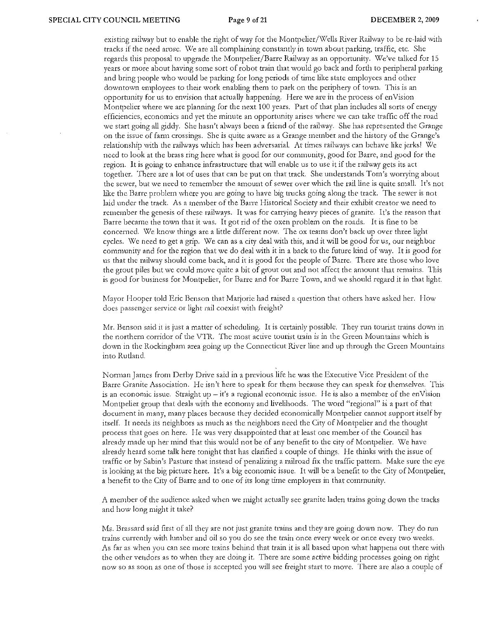existing railway but to enable the right of way for the Montpelier/Wells River Railway to be re-laid with tracks if the need arose. \X!e arc all complaining constantly in town about parking, traffic, etc. She regards this proposal to upgrade the Montpelier/Barre Railway as an opportunity. We've talked for 15 years or more about having some sort of robot train that would go back and forth to peripheral parking and bring people who would be parking for long periods of time like state employees and other downtown employees to their work enabling them to park on the periphery of town. This is an opportunity for us to envision that actually happening. Here we arc in the process of en Vision Montpelier where we are planning for the next 100 years. Part of that plan includes all sorts of energy efficiencies, economics and yet the tninute an opportunity arises where we can take traffic off the road we start going all giddy. She hasn't always been a friend of the railway. She has represented the Grange on the issue of farm crossings. She is quite aware as a Grange member and the history of the Grange's relationship with the railways which has been adversariaL At times railways can behave like jerks! *'\tie*  need to look at the brass ring here what is good for our community, good for Barre, and good for the region. It is going to enhance infrastructure that will enable us to use it if the railway gets its act together. There are a lot of uses that can be put on that track. She understands Tom's worrying about the sewer, but we need to remember the amount of sewer over which the rail line is quite small. It's not like the Barre problem where you are going to have big trucks going along the track. The sewer is not laid under the track. As a member of the Barre Historical Society and their exhibit creator \ve need to remember the genesis of these railways. It was for carrying heavy pieces of granite. It's the reason that Barre became the town that it was. It got rid of the oxen problem on the roads. It is fine to be concerned. We know things are a little different now. The ox teams don't back up over three light cycles. \Y/e l1eed to get a grip. \VJe can as a city deal with this, and it will be good for us, OUi' neighbor community and for the region that we do deal with it in a back to the future kind of way. It is good for us that the railway should come back, and it is good for the people of Barre. There are those who love the grout piles but \ve could move quite a bit of grout out and not affect the amount that remains. This is good for business for Montpelier, for Barre and for Barre Town, and we should regard it in that light.

Mayor Hooper told Eric Benson that Marjorie had raised a question that others have asked her. How does passenger service or light rail coexist with freight?

Mr. Benson said it is just a matter of scheduling. It is certainly possible. They run tourist trains down in the northern corridor of the VTR. The most active tourist train is in the Green Mountains which is down in the Rockingham area going up the Connecticut River line and up through the Green Mountains into Rutland.

Norman James from Derby Drive said in a previous life he was the Executive Vice President of the Barre Granite Association. He isn't here to speak for them because they can speak for themselves. This is an economic issue. Straight up  $-i\ddot{\tau}$  a regional economic issue. He is also a member of the enVision Montpelier group that deals with the economy and livelihoods. 'fhe word "regional" is a part of that document in many, many places because they decided economically Montpelier cannot support itself by itself. It needs its neighbors as much as the neighbors need the City of Montpelier and the thought process that goes on here. He was very disappointed that at least one member of the Council has already made up her mind that this would not be of any benefit to the city of Montpelier. We have already heard some talk here tonight that has clarified a couple of things. He thinks with the issue of traffic or by Sabin's Pasture that instead of penalizing a railroad fix the traffic pattern. Make sure the eye is looking at the big picture here. It's a big economic issue. It will be a benefit to the City of Montpelier, a benefit to the City of Barre and to one of its long time employers in that community.

A member of the audience asked when we aught actually see granite laden trains going down the tracks and how long might it take?

Ms. Brassard said first of all they are not just granite trains and they are going down now. They do run trains currently with lumber and oil so you do see the train once every week or once every two weeks. As far as when you can see more trains behind that train it is all based upon what happens out there with the other vendors as to when they are doing it. There arc some active bidding processes going on right now so as soon as one of those is accepted you will see freight start to move. There arc also a couple of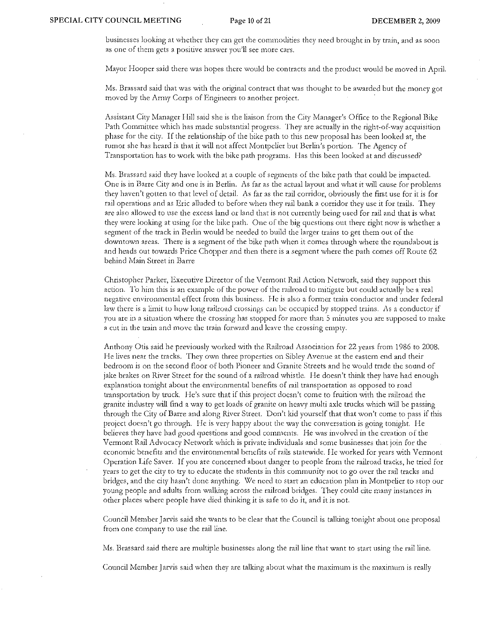businesses looking at whether they can get the commodities they need brought in by train, and as soon as one of them gets a positive answer you'll sec more cars.

Mayor Hooper said there was hopes there would be contracts and the product would be moved in April.

Ms. Brassard said that was with the original contract that was thought to be awarded but the money got moved by the Army Corps of Engineers to another project.

Assistant City Manager Hill said she is the liaison from the City Manager's Office to the Regional Bike Path Committee which has made substantial progress. They arc actually in the right-of-way acquisition phase for the city. If the relationship of the bike path to this new proposal has been looked at, the rumor she has heard is that it will not affect Montpelier but Berlin's portion. The Agency of Transportation has to work with the bike path programs, Has this been looked at and discussed?

Ms. Brassard said they have looked at a couple of segments of the bike path that could be impacted. One is in Barre City and one is in Berlin. As far as the actual layout and what it will cause for problems they haven't gotten to that level of detail. As far as the tail corridor, obviously the first use for it is for rail operations and as Eric alluded to before when they rail bank a corridor they use it for trails, They are also allowed to use the excess land or land that is not currently being used for rail and that is what they were looking at using for the bike path. One of the big questions out there right now is whether a segment of the track in Berlin would be needed to build the larger trains to get them out of the downtown areas. There is a segment of the bike path when it comes through where the rqundabout is and heads out towards Price Chopper and then there is a segment where the path comes off Route 62 behind Main Street in Barre

Christopher Parker, Executive Ditector of the Vermont Rail A.ction Network, said they support this action. To him this is an example of the power of the railroad to mitigate but could actually be a real negative environmental effect from this business. He is also a former train conductor and under federal law there is a limit to how long railroad crossings can be occupied by stopped trains. As a conductor if you are in a situation where the crossing has stopped for more than 5 minutes you are supposed to make a cut in the train and move the train forward and leave the crossing empty.

Anthony Otis said he previously worked with the Railroad Association for 22 years from 1986 to 2008, He lives neat the tracks. They own three properties on Sibley Avenue at the eastern end and their bedroom is on the second Boor of both Pioneer and Granite Streets and he would trade the sound of jake brakes on River Street for thc sound of a railroad whistle. He doesn't think they have had enough explanation tonight about the environmcntal benefits of rail transportation as opposed to road transportation by truck. He's sure that if this project doesn't come to fruition with the railroad the granite industry will find a way to get loads of granite on heavy multi axle trucks which will be passing through the City of Barre and along River Street. Don't kid yourself that that won't come to pass if this project doesn't go through. He is very happy about the way the conversation is going tonight. He believes they have had good questions and good comments. He was involved in the creation of the Vermont Rail Advocacy Network which is private individuals and some businesses that: join for the economic benefits and the environmental bcnefits of rails statewide. He worked for years with Vermont Operation Life Saver. If you are concerned about danger to people from the railroad tracks, he tried for years to get the city to try to educate the students in this community not to go over the rail tracks and bridges, and the city hasn't done anything. We need to start an education plan in Montpelier to stop our young people and adults from walking across the railroad bridges. They could cite many instances in other places where people have died thinking it is safe to do it, and it is not.

Council Member Jarvis said she wants to be clear that the Council is talking tonight about one proposal ftom one company to use the rail line.

Ms. Brassard said there are multiple businesses along the rail line that want to start using the rail line.

Council Member Jarvis said when they are talking about what the maximum is the maximum is really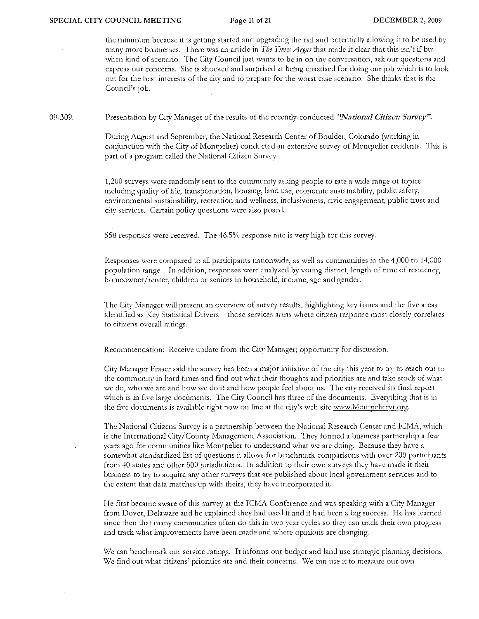the minimum because it is getting started and upgrading the rail and potentially allowing it to be used by many more businesses. There was an article in *The Times Argus* that made it clear that this isn't if but when kind of scenario. The City Council just wants to be in on the conversation, ask our questions and express our concerns. She is shocked and surprised at being chastised for doing our job which is to look out for the best interests of the city and to prepare for the worst case scenario. She thinks that is the Council's job.

09-309. Presentation by City Manager of the results of the recently-conducted *'National Citizen Survey"*.

> During August and September, the National Research Center of Boulder, Colorado (working in conjunction with the City of Montpelier) conducted an extensive survey of Montpelier residents. This is part of a program called the National Citizen Survey.

1,200 surveys were randomly sent to the community asking people to rate a wide range of topics including quality of life, transportation, housing, land use, economic sustainability, public safety, environmental sustain ability, recreation and wellness, inclusiveness, civic engagement, public trust and city services. Certain policy questions were also posed.

558 responses were received. The 46.5% response rate is very high for this survey.

Responses were compared to all participants nationwide, as well as communities in the 4,000 to 14,000 population range. In addition, responses were analyzed by voting district, length of *time* of residency, homeowner/renter, children or seniors in household, income, age and gender.

The City Manager will present an overview of survey results, highlighting key issues and the five areas identified as Key Statistical Drivers - those services ateas where citizen response most closely correlates to citizens overall ratings.

Recommendation: Receive update from the City Manager; opportunity for discussion.

City Manager Fraser said the survey has been a major initiative of the city this year to try to reach out to the comnlunity in hard times and find out what their thoughts and priotities arc and take stock of what we do, who we are and how we do it and how people feel about us. The city received its final report which is in five large documents. The City Council has three of the documents. Everything that is in the five documents is available right now on line at the city's web site www.Montpeliervt.org.

The National Citizens Survey is a partnership between the National Research Center and ICMA, which is the International City/County Management Association. They formed a business partnership a few years ago for communities like Montpelier to understand what we arc doing. Because they have a somewhat standardized list of questions it allows for benchmark comparisons with over 200 participants from 40 states and other 500 jurisdictions. In addition to their own surveys they have made it their business to try to acquire any other surveys that are published about local government services and to the extent that data matches up with theirs, they have incorporated it.

He first became aware of this survey at the ICMA Conference and was speaking with a City Manager from Dover, Delaware and he explained they had used it and it had been a big success. He has learned since then that many communities often do this in two year cycles so they can track their own progress and track what improvements have been made and where opinions are changing.

We can benchmark our service ratings. It informs our budget and land use strategic planning decisions. We find out what citizens' priorities arc and their concerns. \'Ve can use it to measure our own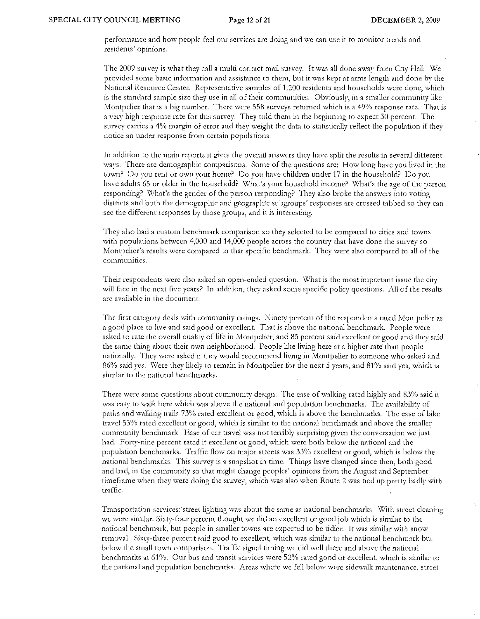performance and how people feci our services are doing and we can usc it to monitor trends and residents' opinions.

The 2009 survey is what they call a multi contact mail survey. It was all done away from City Hall. We provided some basic information and assistance to them, but it was kept at arms length and done by the National Resource Center. Representative samples of 1,200 residents and households were done, which is the standard sample size they use in all of their communities. Obviously, in a smaller community like Montpelier that is a big number. There were 558 surveys returned which is a 49% response rate. That is a very high response rate for this survey. They told them in the beginning to expect 30 percent. The survey carries a 4% margin of error and they weight the data to statistically reflect the population if they notice an under response from certain populations.

In addition to the main reports it gives the overall answers they have split the results in several different ways. There are demographic comparisons. Some of the questions are: How long have you lived in the town? Do you rent or own your home? Do you have children under 17 in the household? Do you have adults 65 or older in the household? \X1hat's your household income? \X!hat's the age of the person responding? What's the gender of the person responding? They also broke the answers into voting districts and both the demographic and geographic subgroups' responses are crossed tabbed so they can see the different responses by those groups, and it is interesting.

They also had a custom benchmark comparison so they selected to be compared to cities and towns with populations between  $4,000$  and  $14,000$  people across the country that have done the survey so Montpelier's results were compared to that specific benchmark. They were also compared to all of the communities.

Their respondents were also asked an open-ended question. \Vhat is the most important issue the city will face in the next five years? In addition, they asked some specific policy questions. All of the results are available in the document.

The first category deals with community ratings. Ninety percent of the respondents rated Montpelier as a good place to live and said good or excellent. That is above the national benchmark. People were asked to rate the overall quality of life in Montpelier, and 85 percent said excellent or good and they said the same thing about their own neighborhood. People like living here at a higher rate" than people nationally. They were asked if they would recommend living in Montpelier to someone who asked and 86% said yes. Were they likely to remain in Montpelier for the next 5 years, and 81% said yes, which is similar to the national benchmarks.

There were some questions about community design. The ease of walking rated highly and 83% said it was easy to walk here which was above the national and population benchmarks. The availability of paths and walking trails 73% rated excellent or good, which is above the benchmarks. The ease of bike travel 53% rated excellent or good, which is similar to the national benchmark and above the smalle~ community benchmark. Ease of car travel was not terribly surprising givcn the conversation we just had. Forty-nine pefcent rated it excellent or good, which were both below the national and the population benchmarks. Traffic flow on major streets was 33% excellent or good, which is below the national benchmarks. This survey is a snapshot in time. Things have changed since then, both good and bad, in the community so that might change peoples' opinions from the August and September timeframe when they were doing the survey, which was also when Route 2 was tied up pretty badly with traffic.

Transportation services: street lighting was about the same as national benchmarks. With street cleaning we were similar. Sixty-four percent thought we did an excellent or good job which is similar to the national benchmark, but people in smaller towns are cxpected to be tidier. It was similar with snow removal. Sixty-three percent said good to excellent, which was similar to the national benchmark but below the small town comparison. Traffic signal timing we did well there and above the national benchmarks at 61%. Our bus and transit services were 52% rated good or excellent, which is similar to the national and population benchmarks. Areas where we fell below were sidewalk maintenance, street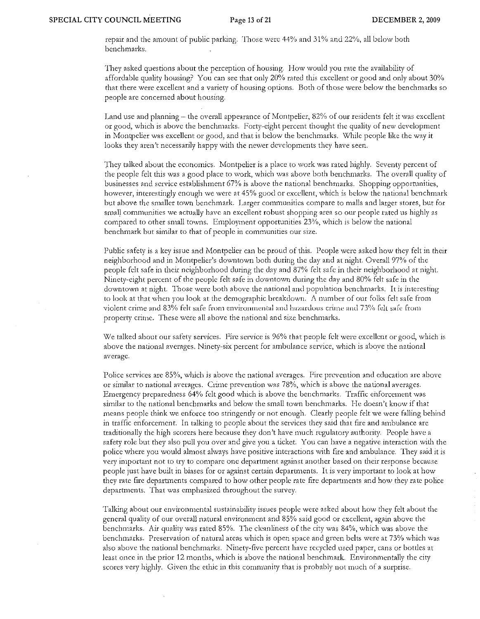repair and the amount of public parking. Those were 44% and 31% and 22%, all below both benchmarks.

They asked questions about the perception of housing. How would you rate the availability of affordable quality housing? You can see that only 20% rated this excellent or good and only about 30% that there were excellent and a variety of housing options. Both of those were below the benchmarks so people arc concerned about housing.

Land use and planning  $-$  the overall appearance of Montpelier, 82% of our residents felt it was excellent or good, which is above the benchmarks. Forty-eight percent thought the quality of new development in Montpelier was excellent or good, and that is below the benchmarks. While people like the way it looks they aren't necessarily happy with the newer developments they have seen.

They talked about the economics. Montpelier is a place to work was rated highly. Seventy percent of the people felt this was a good place to work, which was above both benchmarks. The overall quality of businesses and service establishment 67% is above the national benchmarks. Shopping opportunities, however, interestingly enough we were at 45% good or excellent, which is below the national benchmark but above the smaller town benchmark. Larger communities compare to malls and larger stores, but for small communities we actually have an excellent robust shopping area so our people rated us highly as compared to other small towns. Employment opportunities 23%, which is below the national benchmark but similar to that of people in communities our size.

Public safety is a key issue and Montpelier can be proud of this. People were asked how they felt in their neighborhood and in Montpelier's downtown both during the day and at night. Overall 97% of the people fcIt safe in their neighborhood duting the day and 87% felt safe in their neighborhood at night. Ninety-eight percent of the people felt safe in downtown during the day and 80% felt safe in the downtown at night. Those were both above the national and population benchmarks. It is interesting to look at that when you look at the demographic breakdown. A number of our folks felt safe from violent crime and 83% felt safe from environmental and hazardous crime and 73% felt safe from property crime. These were all above the national and size benchmarks.

We talked about our safety services. Fire service is 96% that people felt were excellent or good, which is above the national averages. Ninety-six percent for ambulance service, which is above the national average.

Police services are 85%, which is above the national averages. Fire prevention and education are above or similar to national averages. Crime prevention was 78%, which is above the national averages. Emergency preparedness 64% felt good which is above the benchmarks. Traffic enforcement was similar to the national benchmarks and below the small town benchmarks. He doesn't know if that means people think we enforce too stringently or not enough. Clearly people felt we were falling behind in traffic enforcement. In talking to people about the services they said that fire and ambulance arc traditionally the high scorets here because they don't have much regulatory authority. People have a safety role but they also pull you over and give you a ticket. You can have a negative interaction with the police where you would almost always have positive interactions with fire and ambulance. They said it is very important not to try to compare one department against another based on their response because people just have built in biases for or against certain departments. It is very important to look at how they rate fire departments compared to how other people rate fire departments and how they rate police departments. That was emphasized throughout the survey.

Talking about our environmental sustainability issues people were asked about how they felt about the general quality of our overall natural environment and 85% said good or excellent, again above the benchmarks. Air quality was rated 85%. The cleanliness of the city was 84%, which was above the benchmarks. Preservation of natural areas which is open space and green belts were at 73% which was also above the national benchmarks. Ninety-five percent have recycled used paper, cans or bottles at least oncc in the prior 12 months, which is above the national benchmark. Environmentally the city scores very highly. Given the ethic in this community that is probably not much of a surprise.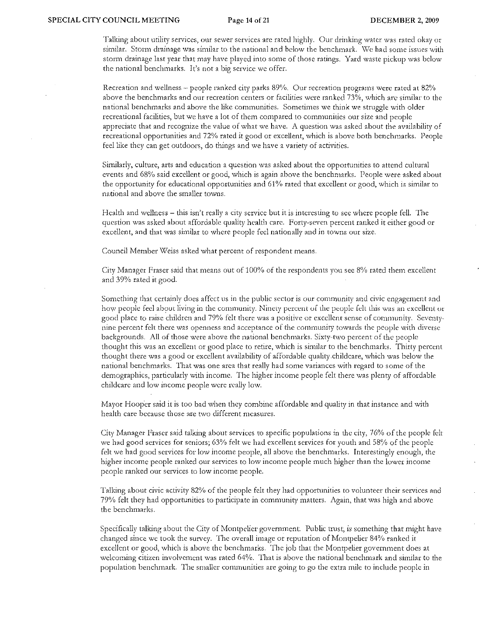Talking about utility services, our sewer services are rated highly. Our drinking water was rated okay or similar. Storm drainage was similar to the national and below the benchmark. We had some issues with storm drainage last year that may have played into some of those ratings. Yard waste pickup was below the national benchmarks. It's not a big service we offer.

Recreation and wellness – people ranked city parks 89%. Our recreation programs were rated at 82% above the benchmarks and our recreation centers or facilities were ranked 73%, which are similar to the national benchmarks and above the like communities. Sometimes we think we struggle with older recreational facilities, but we have a lot of them compared to communities our size and people appreciate that and recognize the value of what we have. A question was asked about the availability of recreational opportunities and 72% rated it good or excellent, which is above both benchmarks. People feel like they can get outdoors, do things and we have a variety of activities.

Similarly, culture, arts and education a question was asked about the opportunities to attend cultural events and 68% said excellent or good, which is again above the benchmarks. People were asked about the opportunity for educational opportunities and 61% rated that excellent or good, which is similar to national and above the smaller towns.

Health and wellness - this isn't really a city service but it is interesting to see where people fell. The question was asked about affordable quality health care. Forty-seven percent ranked it either good or excellent, and that was similar to where people fed nationally and in towns our size.

Council Member Weiss asked what percent of respondent means.

City Manager Fraser said that means out of  $100\%$  of the respondents you see  $8\%$  rated them excellent and 39% rated it good.

Something that certainly docs affect us in the public sector is our community and civic engagement and how people feel about living in the community. Ninety percent of the people felt this was an excellent or good place to raise children and 79% felt there was a positive or excellent sense of community. Seventynine percent felt there was openness and acceptance of the community towards the people with diverse backgrounds. All of those were above the national benchmarks. Sixty-two percent of the people thought this was an excellent or good place to retire, which is similar to the benchmarks. Thirty percent thought there \vas a good or excellent availability of affordable quality,childcare, which was below the national benchmarks. That was one area that really had some variances with regard to some of the demographics, particularly with income. The higher income people felt there was plenty of affordable childcare and low income people were really low.

Mayor Hooper said it is too bad when they combine affordable and quality in that instance and with health care because those are two different measures.

City Manager Fraser said talking about services to specific populations in the city, 76% of the people felt we had good services for scniors; 63% felt we had excellent services for youth and 58% of the people felt we had good services for low income people, all above the benchmarks. Interestingly enough, the higher income people ranked our services to low income people much higher than the lower income people ranked our services to low income people.

Talking about civic activity 82% of the people felt they had opportunities to volunteer their services and 79 % felt they had opportunities to participate in community matters. Again, that was high and above the benchmarks.

Specifically talking about the City of Montpelier government. Public trust, is something that might have changed since we took the survey. The overall image or reputation of Montpelier 84% ranked it excellent or good, which is above the benchmarks. The job that the Montpelier government does at welcoming citizen involvement was rated 64%. That is above the national benchmark and similar to the population benchmark. The smaller communities are going to go the extra mile to include people in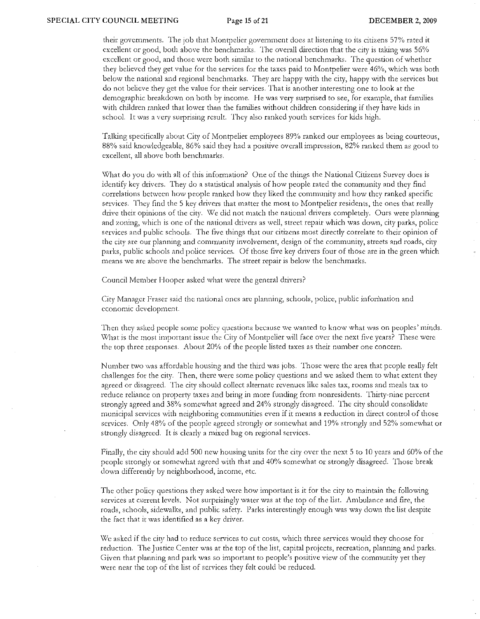their governments. The job that Montpelier government does at listening to its citizens 57% rated it excellent or good, both above the benchmarks. The overall direction that the city is taking was 56% excellent or good, and those were both similar to the national benchmarks. The question of whether they believed they get value [or the services for the taxes paid to Montpelier were 46%, which was both below the national and regional benchmarks. They arc happy with the city, happy with the services but do not believe they get the value for theit services. That is another interesting one to look at the demographic breakdown on both by income. He was very surprised to sec, for example, that families with children ranked that lower than the families without children considering if they have kids in school. It was a very surprising result. They also ranked youth services for kids high.

Talking specifically about City of Montpelier employees 89% ranked our employees as being courteous, 88% said knowledgeable, 86% said they had a positive overall impression, 82% ranked them as good to excellent, all above both benchmarks.

What do you do with all of this information? One of the things the National Citizens Survey does is identify key drivers. They do a statistical analysis of how people rated the community and they find correlations between how people ranked how they liked the community and how they ranked specific services. They find the 5 key drivers that matter the most to Montpelier residents, the ones that really drive their opinions of the city. We did not match the national drivers completely. Ours were planning and zoning, which is one of the national drivers as well, street repair which was down, city parks, police services and public schools. The five things that our citizens most directly correlate to their opinion of the city are our planning and community involvement, design of the comtnunity, streets and roads, city parks, public schools and police services. Of those five key drivers four of those are in the green which means we are above the benchmarks. The street repair is below the benchmarks.

Council Member Hooper asked what were the general drivers?

City Manager Fraser said the national ones are planning, schools, police, public information and economic devciopment.

Then they asked people some policy questions because we wanted to know what was on peoples' minds. What is the most important issue the City of Montpelier will face over the next five years? These were the top three responses. About 20% of the people listed taxes as their number one concern.

Number two was affordable housing and the third was jobs. Those were the area that people really felt challenges for the city. Then, there were some policy questions and we asked them to what extent they agreed or disagreed. The city should collect alternate revenues like sales tax, rooms and meals tax to reduce reliance on property taxes and bring in more funding from nonresidents. Thirty-nine percent strongly agreed and 38% somewhat agreed and 24% strongly disagreed. The city should consolidate municipal services with neighboring communities even if it means a reduction in direct control of those services. Only 48% of the people agreed strongly or somewhat and 19% strongly and 52% somewhat or strongly disagreed. It is clearly a mixed bag on regional services.

Finally, the city should add 500 new housing units for the city over the next 5 to 10 years and 60% of the people strongly or somewhat agreed with that and 40% somewhat or strongly disagreed. Those break down differently by neighborhood, income, etc.

The other policy questions they asked were how important is it for the city to maintain the following services at current levels. Not surprisingly water was at the top of the list. Ambulance and fire, the roads, schools, sidewalks, and public safety. Parks interestingly enough was way down the list despite the fact that it was identified as a key driver.

*"lic* asked if the city had to reduce services to cut costs) which three services would they choose for reduction. The Justice Center was at the top of the list, capital projects, recreation, planning and parks. Given that planning and park was so important to people's positive view of the community yet they were near the top of the list of services they felt could be reduced.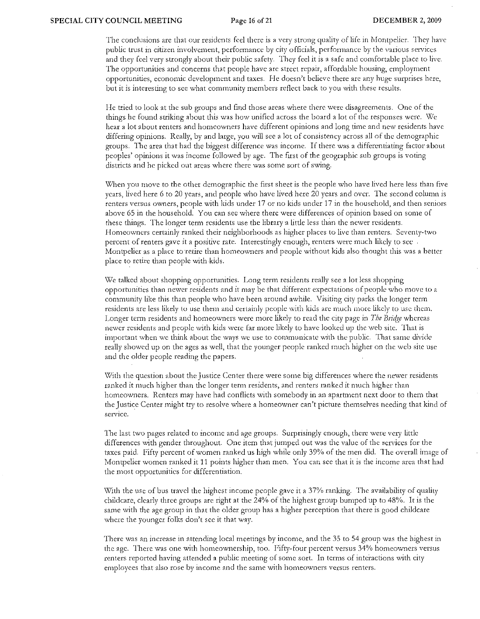The conclusions are that our residents feel there is a very strong quality of life in Montpelier. They have public trust in citizen involvement, performance by city officials, performance by the various services and they feel vety strongly about their public safety. They feel it is a safe and comfortable place to live. The opportunities and concerns that people have arc street repair, affordable housing, employment opportunities, economic development and taxes. He doesn't believe there arc any huge surprises here, but it is interesting to sec what community members reflect back to you with these results.

He tried to look at the sub groups and find those areas where there were disagreements. One of the things he found striking about this was how unified across the board a lot of the responses were. We hear a lot about renters and homeowners have different opinions and long time and new residents have differing opinions. Really, by and large, you will see a lot of consistency across all of the demographic groups. The area that had the biggest difference was income. If there was a differentiating factor about peoples' opinions it was income followed by age. The first of the geographic sub groups is voting districts and he picked out areas where there was some sort of swing.

When you move to the other demographic the first sheet is the people who have lived here less than five years, lived here 6 to 20 years, and people who have lived here 20 years and over. 111e second column is renters versus owners, people with kids under 17 or no kids under 17 in the household, and then seniors above 65 in the household. You can sec where there were differences of opinion based on some of these things. The longer term residents use the library a little less than the newer residents. 1'10meowners certainly ranked their neighborhoods as higher places to live than renters. Seventy-two percent of renters gave *it* a positive rate. Interestingly enough, renters were much likely to see Montpelier as a place to retire than homeowners and people without kids also thought this was a better place to retire than people with kids.

We talked about shopping opportunities. Long term residents really see a lot less shopping opportunities than newer residents and it may be that different expectations of people who move to a community like this than people who have been around awhile. Visiting city parks the longer term residents are less likely to use them and certainly people with kids are much more likely to use them. Longer term residents and homeowners were more likely to read the city page in *The Bridge* whereas newer residents and people with kids were far more likely to have looked up the web site. That is important when we think about the ways we use to communicate with the public. That same divide really showed up on the ages as well, that the younger people ranked much higher on the web site use and the older people reading the papers.

With the question about the Justice Center there were some big differences where the newer residents ranked it much higher than the longer term residents, and renters ranked it much higher than homeowners. Renters may have had conflicts with somebody in an apartment next door to them that the Justice Center might *try* to resolve where a homeowner can't picture themselves needing that kind of service.

111e last two pages related to income and age groups. Surprisingly enough, there were very little differences with gender throughout. One item that jumped out was the value of the services for the taxes paid. Fifty percent of women ranked us high while only 39% of the men did. The overall image of Montpelier women ranked it 11 points higher than men. You can see that it is the income area that had the most opportunities for differentiation.

With the use of bus travel the highest income people gave it a 37% ranking. The availability of quality child care, clearly three groups are right at the 24% of the highest group bumped up to 48%. It is the same with the age group in that the older group has a higher perception that there is good childcare where the younger folks don't see it that way.

There was an increase in attending local meetings by income, and the 35 to 54 group was the highest in the age. There was one with homeownership, too. Fifty-four percent versus 34% homeowners versus renters reported having attended a public meeting of some sort. In terms of interactions with city employees that also rose by income and the same with homeowners versus renters.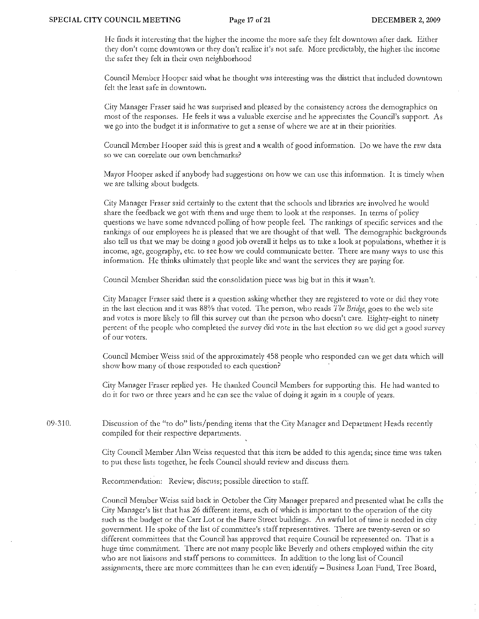I-Ie finds it interesting that the higher the income the morc safe they felt downtown after dark. Either they don't come downtown or they don't realize it's not safe. More predictably, the higher the income the safer they felt in their own neighborhood

Council Member Hooper said what he thought was interesting was the district that included downtown felt the least safe in downtown.

City Manager Fraser said he was surprised and pleased by the consistency across the demographics on most of the responses, He feels it was a valuable exercise and he appreciates the Council's support. As we go into the budget it is informative to get a sense of where we are at in their priorities.

Council Member Hooper said this is great and a wealth of good information. Do we have the raw data so we can correlate our own benchmarks?

Mayor Hooper asked if anybody had suggestions on how we can use this information. It is timely when we are talking about budgets,

City Manager Fraser said certainly to the extent that the schools and libraries are involved he would share the feedback we got with them and urge them to look at the responses. In terms of policy questions we have some advanced polling of how people feel. The rankings of specific services and the rankings of our employecs he is pleased that we are thought of that well. The demographic backgrounds also tell us that we may be doing a good job overall it helps us to take a look at populations, whether it is income, age, geography, etc. to see how we could communicate better. There are many ways to use this information. He thinks ultimately that people like and want the services they are paying for.

Council Member Sheridan said the consolidation piece was big but in this it wasn't.

City Manager Fraser said there is a question asking whether they are registered to vote or did they vote in the last election and it was 88% that voted. The person, who reads *The Bridge*, goes to the web site and votes is more likely to fill this survey out than the person who doesn't care. Eighty-eight to ninety percent of the people who completed the survey did vote in the last election so we did get' a good survey of our voters.

Council Member Weiss said of the approximately 458 people who responded can we get data which will show how many of those responded to each question?

City Manager Fraser replied yes. He thanked Council Members for supporting this. He had wanted to do it for two or duee years and he can see thc valuc of doing it again in a couple of years.

09-3]0, Discussion of the "to do" lists/pending items that the City Manager and Department Heads recently compiled for their respective departments.

> City Council Member Alan Weiss requested that this item be added to this agenda; since time was taken to put these lists together, he feels Council should review and discuss them.

Recommendation: Review; discuss; possible direction to staff.

Council M'ember \\1eiss said back in October the City Manager prepared and prcsented what he calls the City Manager's list that has 26 different items, each of which is important to the operation of the city such as the budget or the Carr Lot or the Barre Street buildings. An awful lot of time is needed in city government. He spoke of the list of committee's staff representatives. There arc twenty-sevcn or so different committees that the Council has approved that require Council be represented on. That is a huge time commitment. There are not many people like Beverly and others employed within the city who are not liaisons and staff persons to committees. In addition to the long list of Council assignments, there are mote committees than he can even identify - Business Loan F'und, Tree Board,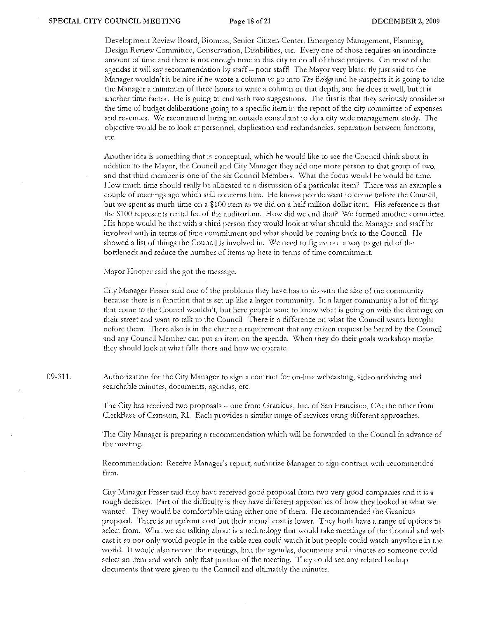Development Review Board, Biomass, Senior Citizen Center, Emergency Management, Planning, Design Review Committee, Conservation, Disabilities, etc. Every onc of those requires an inordinate amount of time and there is not enough time in this city to do all of these projects. On most of the agendas it will say recommendation by staff  $-$  poor staff! The Mayor very blatantly just said to the Manager wouldn't it be nice if he wrote a column to go into *The Bridge* and he suspects it is going to take the Manager a minimum, of three homs to write a column of that depth, and he docs it well, but it is another time factor. He is going to end with two suggestions. The first is that they seriously consider at the time of budget deliberations going to a specific item in the report of the city committee of expenses and revenues. We recommend hiring an outside consultant to do a city wide management study. The objective would be to look at personnel, duplication and redundancies, separation between functions, *ete.* 

Another idea is something that is conceptual, which he would like to see the Council think about in addition to the Mayor, the Council and City Manager they add one more person to that group of two, and that third member is one of the six Council Members. What the focus would be would be time. How much time should really be allocated to a discussion of a particular item? There was an example a couple of meetings ago which still concerns him. He knows people want to come befote the Council, but we spent as much time on a \$100 item as we did on a half million dollar item. His reference is that the \$100 represents rental fee of the auditorium. How did we end that? We formed another committee. His hope would be that with a third person they would look at what should the Manager and staff be involved with in terms of time commitment and what should be coming back to the Council. He showed a list of things the Council is involved in. We need to figure out a way to get rid of the bottleneck and reduce the number of items up here in terms of time commitment.

Mayor Hooper said she got the message.

City Manager Fraser said one of the problems they have has to do with the size of the community because there is a function that is set up like a larger community. In a larger community a lot of things that come to the Council wouldn't, but here people want to know what is going on with the drainage on their street and \vanf to falk to the Councjl. There is a difference on what the Council wants brought before them. There also is in the charter a requirement that any citizen request be heard by the Council and any Council Member can put an item on the agenda. When they do their goals workshop maybe they should look at what falls there and how we operate.

09-311. Authorization for the City Manager to sign a contract for on-line wcbcasting, video archiving and searchable minutes, documents, agendas, etc.

> The City has received two proposals – one from Granicus, Inc. of San Francisco, CA; the other from ClerkBase of Cranston, Rl. Each provides a similar mnge of services using different approaches.

The City Manager is preparing a recommendation which will be forwarded to the Council in advance of the meeting.

Recommendation: Receive Manager's report; authorize Manager to sign contract with recommended firm.

City Manager Fraser said they have received good proposal from two very good companies and it is a tough decision. Part of the difficulty is they have different approaches of how they looked at what we wanted. They would be comfortable using cither one of them. He recommended the Granicus proposal. There is an up front cost but their annual cost is lower, They both have a range of options to select from. What we are talking about is a technology that would take meetings of the Council and web cast it so not only would people in the cable area could watch it but people could watch anywhere in the world. It would also record the meetings, link the agendas, documents and minutes so someone could select an item and watch only that portion of the meeting. They could see any related backup documents that were given to the Council and ultimately the minutes.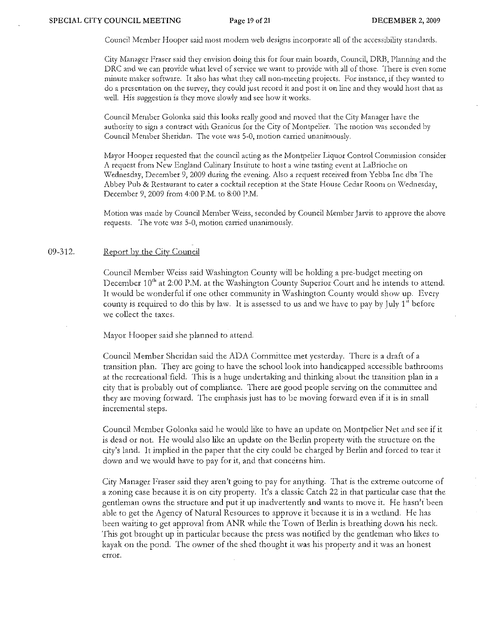Council Member Hooper said most modern web designs incorporate all of the accessibility standards.

City Manager Fraser said they envision doing this for four main boards, Council, DRB, Planning and the DRC and we can provide what level of service we want to provide with all of those. There is even some minute maker software. It also has what they caU non-meering projects. For instance, if they wanted to do a presentation on the survey, they could just record it and post it on line and they would host: that as well. His suggestion is they move slowly and see how it works.

Council Member Golonka said this looks really good and moved that the City Manager have the authority to sign a contract with Granicus for the City of Montpelier. The motion was seconded by Council Member Sheridan. The vote was 5-0, motion carried unanimously.

Mayor Hooper requested that the council acting as the Montpelier Liquor Control Commission consider A request from New England Culinary Institute to host a wine tasting event at LaBrioche on Wednesday, December 9, 2009 during the evening. Also a request received from Yebba Inc dba The Abbey Pub & Restaurant to cater a cocktail reception at the State House Cedar Room on Wednesday, December 9, 2009 from 4:00 P.M. to 8:00 P.M.

Motion was made by Council Member Weiss, seconded by Council Member Jarvis to approve the above requests. The vote was 5-0, motion carried unanimously.

## 09-312. Report by the City Council

Council Member Weiss said Washington County will be holding a pre-budget meeting on December 10<sup>th</sup> at 2:00 P.M. at the Washington County Superior Court and he intends to attend. It would be wonderful if one other community in Washington County would show up. Every county is required to do this by law. It is assessed to us and we have to pay by July  $1<sup>st</sup>$  before we collect the taxes.

Mayor Hooper said she planned to attend.

Council Member Sheridan said the ADA Committee met yesterda),. There is a draft of a transition plan. They are going to have the school look into handicapped accessible bathrooms at the recreational field. This is a huge undertaking and thinking about the transition plan in a city that is probably out of compliance. There are good people serving on the committee and they are moving forward. The emphasis just has to be moving forward even if it is in small incremental steps.

Council Member Golonka said he would like to have an update on Montpelier Net and see if it is dead or not. He would also like an update on the Berlin property with the structure on the city's land. It implied in the paper that the city could be charged by Berlin and forced to tear it down and we would have to pay for it, and that concerns him.

City Manager Fraser said they aren't going to pay for anything. That is the extreme outcome of a zoning case because it is on city property. It's a classic Catch 22 in that particular case that the gentleman owns the structure and put it up inadvertently and wants to move it. He hasn't been able to get the Agency of Natural Resources to approve it because it is in a wetland. He has been waiting to get approval from ANR while the Town of Berlin is breathing down his neck. This got brought up in particular because the press was notified by the gentleman who likes to kayak on the pond. The owner of the shed thought it was his property and it was an honest ciror.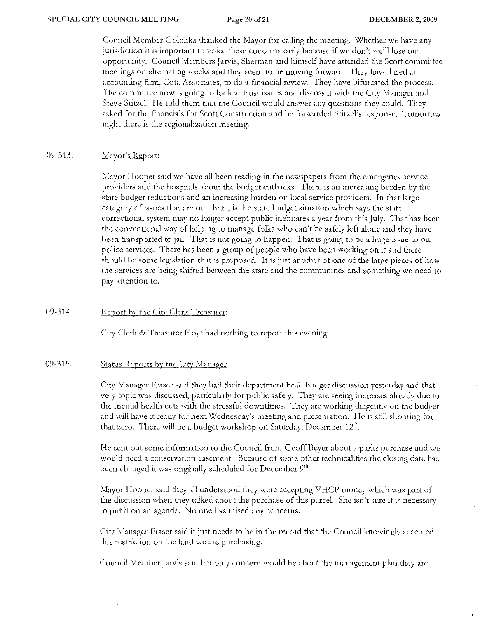Council Member Golonka thanked the Mayor for calling the meeting. Whether we have any **jurisdiction it is important to voice these concerns early because if we don't** we'll lose **our**  opportunity. Council Members Jarvis, Sherman and himself have attended the Scott committee meetings on alternating weeks and they seem to be moving forward. They have hired an accounting firm, Cota Associates, to do a financial review. They have bifurcated the process. The committee now is going to look at trust issues and discuss it with the City Manager and Steve StitzeL He told them that the Council would answer any questions they could. They asked for the financials for Scott Construction and he forwarded Stitzel's response. Tomorrow night there is the regionalization meeting.

## 09-313. Mayor's Report:

Mayor Hooper said we have all been reading in the newspapers from the emergency service providers and the hospitals about the budget cutbacks. There is an increasing burden by the state budget reductions and an increasing burden on local service providers. In that large **category of issues that arc out there, is the state budget situation which says the state**  correctional system may no longer accept public inebriates a year from this July. That has been the conventional way of helping to manage folks who can't be safely left alone and they have been transported to jaiL That is not going to happen. That is going to be a huge issue to our police services. There has been a group of people who have been working on it and there should be some legislation that is proposed. It is just another of one of the large pieces of how the services are being shifted between the state and the communities and something we need to **pay attention to.** 

## 09-314. Report by the City Clerk-Treasurer:

City Clerk & Treasurer Hoyt had nothing to report this evening.

## 09-315. Status Reports by the City Manager

City Manager Fraser said they had their department hea'd budget discussion yesterday and that very topic was discussed, particularly for public safety. They are seeing increases already due to the mental health cuts with the stressful downtimes. They arc working diligently on the budget and will have it ready for next Wednesday's meeting and presentation. He is still shooting for that zero. There will be a budget workshop on Saturday, December 12<sup>th</sup>.

He sent out some information to the Council from Geoff Beyer about a parks purchase and we would need a conservation easement. Because of some other technicalities the closing date has been changed it was originally scheduled for December 9<sup>th</sup>.

Mayor Hooper said they all understood they were accepting VHCP money which was part of the discussion when they talked about the purchase of this parcel. She isn't sure it is necessary **to put it 011 an agenda. No one has raised any concerns.** 

City Manager Fraser said it just needs to be in the record that the Council knowingly accepted this restriction on the land we are purchasing.

Council Member Jarvis said her only concern would he about the management plan they are